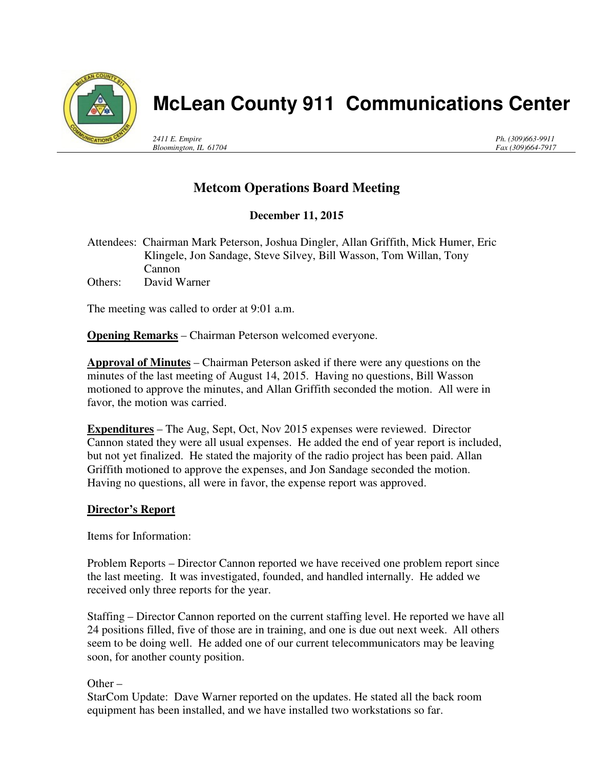

# **McLean County 911 Communications Center**

*2411 E. Empire Bloomington, IL 61704* *Ph. (309)663-9911 Fax (309)664-7917*

## **Metcom Operations Board Meeting**

### **December 11, 2015**

Attendees: Chairman Mark Peterson, Joshua Dingler, Allan Griffith, Mick Humer, Eric Klingele, Jon Sandage, Steve Silvey, Bill Wasson, Tom Willan, Tony Cannon Others: David Warner

The meeting was called to order at 9:01 a.m.

**Opening Remarks** – Chairman Peterson welcomed everyone.

**Approval of Minutes** – Chairman Peterson asked if there were any questions on the minutes of the last meeting of August 14, 2015. Having no questions, Bill Wasson motioned to approve the minutes, and Allan Griffith seconded the motion. All were in favor, the motion was carried.

**Expenditures** – The Aug, Sept, Oct, Nov 2015 expenses were reviewed. Director Cannon stated they were all usual expenses. He added the end of year report is included, but not yet finalized. He stated the majority of the radio project has been paid. Allan Griffith motioned to approve the expenses, and Jon Sandage seconded the motion. Having no questions, all were in favor, the expense report was approved.

#### **Director's Report**

Items for Information:

Problem Reports – Director Cannon reported we have received one problem report since the last meeting. It was investigated, founded, and handled internally. He added we received only three reports for the year.

Staffing – Director Cannon reported on the current staffing level. He reported we have all 24 positions filled, five of those are in training, and one is due out next week. All others seem to be doing well. He added one of our current telecommunicators may be leaving soon, for another county position.

Other –

StarCom Update: Dave Warner reported on the updates. He stated all the back room equipment has been installed, and we have installed two workstations so far.